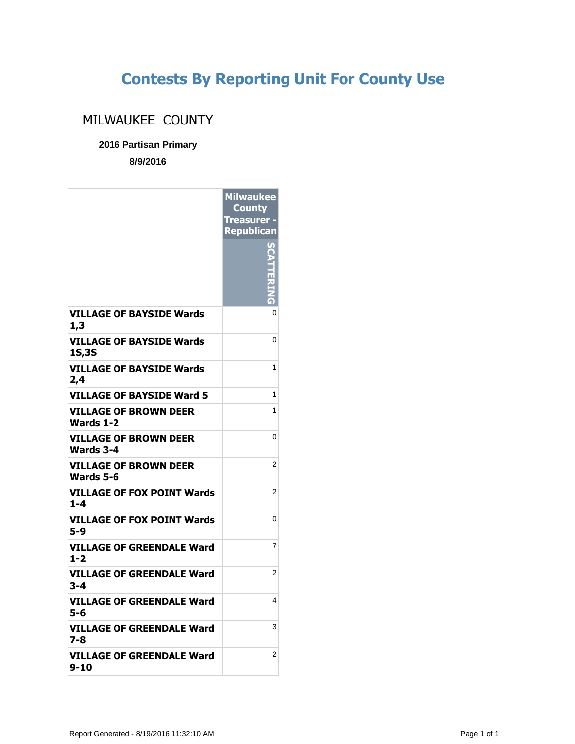## **Contests By Reporting Unit For County Use**

## MILWAUKEE COUNTY

**2016 Partisan Primary**

**8/9/2016**

|                                                  | <b>Milwaukee</b><br><b>County</b><br><b>Treasurer -</b><br>Republican |
|--------------------------------------------------|-----------------------------------------------------------------------|
|                                                  |                                                                       |
| VILLAGE OF BAYSIDE Wards<br>1,3                  | 0                                                                     |
| <b>VILLAGE OF BAYSIDE Wards</b><br><b>1S,3S</b>  | 0                                                                     |
| <b>VILLAGE OF BAYSIDE Wards</b><br>2,4           | 1                                                                     |
| VILLAGE OF BAYSIDE Ward 5                        | 1                                                                     |
| <b>VILLAGE OF BROWN DEER</b><br><b>Wards 1-2</b> | 1                                                                     |
| <b>VILLAGE OF BROWN DEER</b><br>Wards 3-4        | 0                                                                     |
| <b>VILLAGE OF BROWN DEER</b><br>Wards 5-6        | $\overline{2}$                                                        |
| VILLAGE OF FOX POINT Wards<br>$1 - 4$            | 2                                                                     |
| <b>VILLAGE OF FOX POINT Wards</b><br>5-9         | 0                                                                     |
| <b>VILLAGE OF GREENDALE Ward</b><br>1-2          | 7                                                                     |
| <b>VILLAGE OF GREENDALE Ward</b><br>3-4          | 2                                                                     |
| VILLAGE OF GREENDALE Ward<br>5-6                 | 4                                                                     |
| VILLAGE OF GREENDALE Ward<br>7-8                 | 3                                                                     |
| <b>VILLAGE OF GREENDALE Ward</b><br>9-10         | 2                                                                     |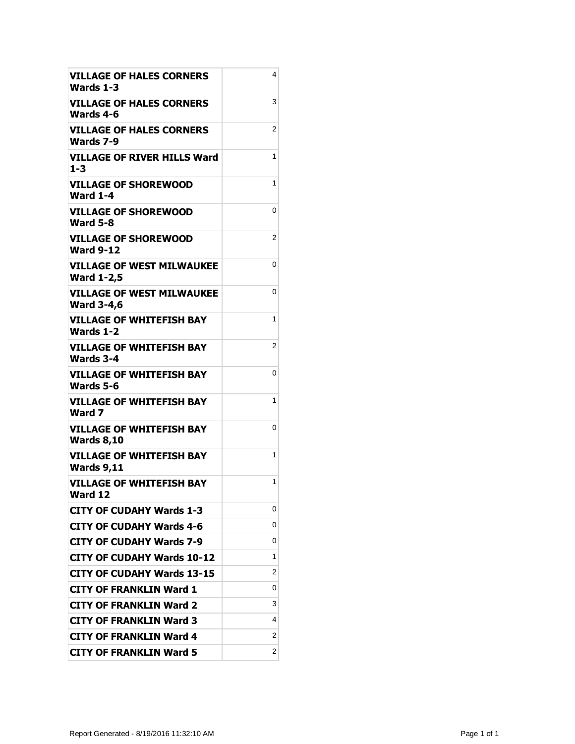| <b>VILLAGE OF HALES CORNERS</b><br>Wards 1-3          | 4 |
|-------------------------------------------------------|---|
| VILLAGE OF HALES CORNERS<br>Wards 4-6                 | 3 |
| VILLAGE OF HALES CORNERS<br>Wards 7-9                 | 2 |
| <b>VILLAGE OF RIVER HILLS Ward</b><br>$1 - 3$         | 1 |
| <b>VILLAGE OF SHOREWOOD</b><br><b>Ward 1-4</b>        | 1 |
| <b>VILLAGE OF SHOREWOOD</b><br><b>Ward 5-8</b>        | 0 |
| <b>VILLAGE OF SHOREWOOD</b><br><b>Ward 9-12</b>       | 2 |
| <b>VILLAGE OF WEST MILWAUKEE</b><br><b>Ward 1-2,5</b> | 0 |
| <b>VILLAGE OF WEST MILWAUKEE</b><br><b>Ward 3-4,6</b> | 0 |
| <b>VILLAGE OF WHITEFISH BAY</b><br><b>Wards 1-2</b>   | 1 |
| <b>VILLAGE OF WHITEFISH BAY</b><br>Wards 3-4          | 2 |
| <b>VILLAGE OF WHITEFISH BAY</b><br>Wards 5-6          | 0 |
| <b>VILLAGE OF WHITEFISH BAY</b><br>Ward 7             | 1 |
| VILLAGE OF WHITEFISH BAY<br><b>Wards 8,10</b>         | 0 |
| <b>VILLAGE OF WHITEFISH BAY</b><br><b>Wards 9,11</b>  | 1 |
| <b>VILLAGE OF WHITEFISH BAY</b><br>Ward 12            | 1 |
| <b>CITY OF CUDAHY Wards 1-3</b>                       | 0 |
| CITY OF CUDAHY Wards 4-6                              | 0 |
| CITY OF CUDAHY Wards 7-9                              | 0 |
| <b>CITY OF CUDAHY Wards 10-12</b>                     | 1 |
| CITY OF CUDAHY Wards 13-15                            | 2 |
| <b>CITY OF FRANKLIN Ward 1</b>                        | 0 |
| CITY OF FRANKLIN Ward 2                               | 3 |
| <b>CITY OF FRANKLIN Ward 3</b>                        | 4 |
| <b>CITY OF FRANKLIN Ward 4</b>                        | 2 |
| <b>CITY OF FRANKLIN Ward 5</b>                        | 2 |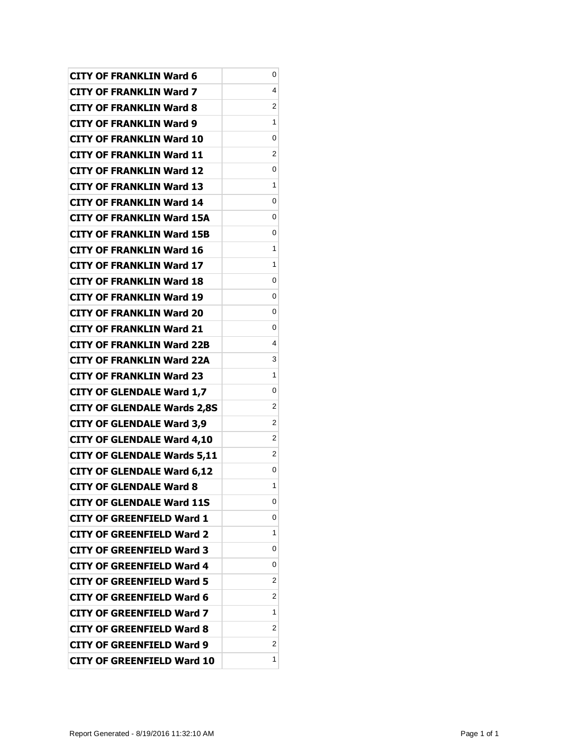| <b>CITY OF FRANKLIN Ward 6</b>     | 0 |
|------------------------------------|---|
| <b>CITY OF FRANKLIN Ward 7</b>     | 4 |
| <b>CITY OF FRANKLIN Ward 8</b>     | 2 |
| <b>CITY OF FRANKLIN Ward 9</b>     | 1 |
| <b>CITY OF FRANKLIN Ward 10</b>    | 0 |
| <b>CITY OF FRANKLIN Ward 11</b>    | 2 |
| <b>CITY OF FRANKLIN Ward 12</b>    | 0 |
| <b>CITY OF FRANKLIN Ward 13</b>    | 1 |
| <b>CITY OF FRANKLIN Ward 14</b>    | 0 |
| <b>CITY OF FRANKLIN Ward 15A</b>   | 0 |
| <b>CITY OF FRANKLIN Ward 15B</b>   | 0 |
| <b>CITY OF FRANKLIN Ward 16</b>    | 1 |
| <b>CITY OF FRANKLIN Ward 17</b>    | 1 |
| <b>CITY OF FRANKLIN Ward 18</b>    | 0 |
| <b>CITY OF FRANKLIN Ward 19</b>    | 0 |
| <b>CITY OF FRANKLIN Ward 20</b>    | 0 |
| <b>CITY OF FRANKLIN Ward 21</b>    | 0 |
| <b>CITY OF FRANKLIN Ward 22B</b>   | 4 |
| <b>CITY OF FRANKLIN Ward 22A</b>   | 3 |
| <b>CITY OF FRANKLIN Ward 23</b>    | 1 |
| <b>CITY OF GLENDALE Ward 1,7</b>   | 0 |
| <b>CITY OF GLENDALE Wards 2,8S</b> | 2 |
| <b>CITY OF GLENDALE Ward 3,9</b>   | 2 |
| <b>CITY OF GLENDALE Ward 4,10</b>  | 2 |
| <b>CITY OF GLENDALE Wards 5,11</b> | 2 |
| <b>CITY OF GLENDALE Ward 6,12</b>  | 0 |
| <b>CITY OF GLENDALE Ward 8</b>     | 1 |
| <b>CITY OF GLENDALE Ward 11S</b>   | 0 |
| CITY OF GREENFIELD Ward 1          | 0 |
| CITY OF GREENFIELD Ward 2          | 1 |
| <b>CITY OF GREENFIELD Ward 3</b>   | 0 |
| <b>CITY OF GREENFIELD Ward 4</b>   | 0 |
| CITY OF GREENFIELD Ward 5          | 2 |
| CITY OF GREENFIELD Ward 6          | 2 |
| CITY OF GREENFIELD Ward 7          | 1 |
| <b>CITY OF GREENFIELD Ward 8</b>   | 2 |
| <b>CITY OF GREENFIELD Ward 9</b>   | 2 |
| <b>CITY OF GREENFIELD Ward 10</b>  | 1 |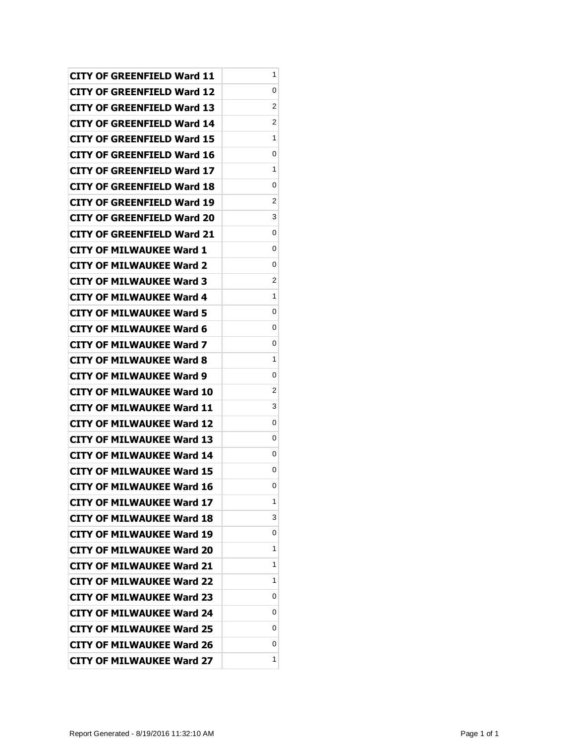| CITY OF GREENFIELD Ward 11       | 1 |
|----------------------------------|---|
| CITY OF GREENFIELD Ward 12       | 0 |
| CITY OF GREENFIELD Ward 13       | 2 |
| CITY OF GREENFIELD Ward 14       | 2 |
| CITY OF GREENFIELD Ward 15       | 1 |
| CITY OF GREENFIELD Ward 16       | 0 |
| CITY OF GREENFIELD Ward 17       | 1 |
| CITY OF GREENFIELD Ward 18       | 0 |
| CITY OF GREENFIELD Ward 19       | 2 |
| CITY OF GREENFIELD Ward 20       | 3 |
| CITY OF GREENFIELD Ward 21       | 0 |
| CITY OF MILWAUKEE Ward 1         | 0 |
| <b>CITY OF MILWAUKEE Ward 2</b>  | 0 |
| CITY OF MILWAUKEE Ward 3         | 2 |
| <b>CITY OF MILWAUKEE Ward 4</b>  | 1 |
| CITY OF MILWAUKEE Ward 5         | 0 |
| CITY OF MILWAUKEE Ward 6         | 0 |
| <b>CITY OF MILWAUKEE Ward 7</b>  | 0 |
| CITY OF MILWAUKEE Ward 8         | 1 |
| <b>CITY OF MILWAUKEE Ward 9</b>  | 0 |
| <b>CITY OF MILWAUKEE Ward 10</b> | 2 |
| CITY OF MILWAUKEE Ward 11        | 3 |
| CITY OF MILWAUKEE Ward 12        | 0 |
| CITY OF MILWAUKEE Ward 13        | 0 |
| CITY OF MILWAUKEE Ward 14        | 0 |
| <b>CITY OF MILWAUKEE Ward 15</b> | 0 |
| <b>CITY OF MILWAUKEE Ward 16</b> | 0 |
| <b>CITY OF MILWAUKEE Ward 17</b> | 1 |
| <b>CITY OF MILWAUKEE Ward 18</b> | 3 |
| <b>CITY OF MILWAUKEE Ward 19</b> | 0 |
| <b>CITY OF MILWAUKEE Ward 20</b> | 1 |
| <b>CITY OF MILWAUKEE Ward 21</b> | 1 |
| <b>CITY OF MILWAUKEE Ward 22</b> | 1 |
| <b>CITY OF MILWAUKEE Ward 23</b> | 0 |
| <b>CITY OF MILWAUKEE Ward 24</b> | 0 |
| <b>CITY OF MILWAUKEE Ward 25</b> | 0 |
| <b>CITY OF MILWAUKEE Ward 26</b> | 0 |
| <b>CITY OF MILWAUKEE Ward 27</b> | 1 |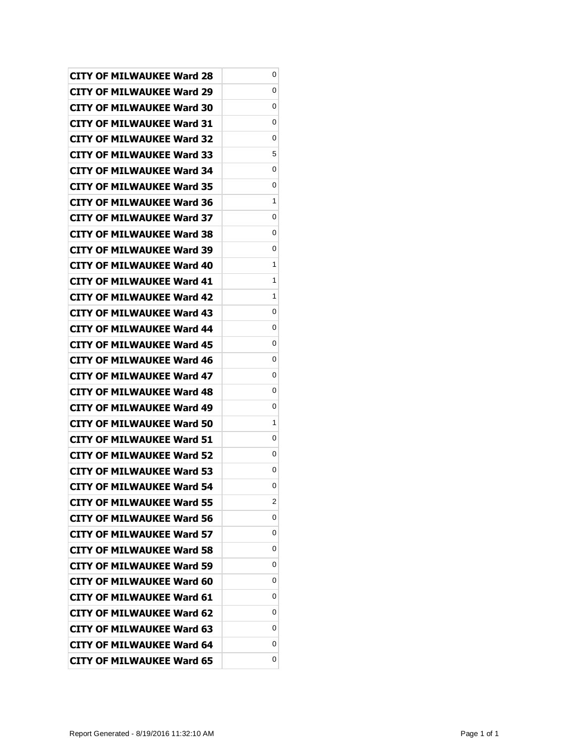| <b>CITY OF MILWAUKEE Ward 28</b> | 0 |
|----------------------------------|---|
| CITY OF MILWAUKEE Ward 29        | 0 |
| <b>CITY OF MILWAUKEE Ward 30</b> | 0 |
| <b>CITY OF MILWAUKEE Ward 31</b> | 0 |
| <b>CITY OF MILWAUKEE Ward 32</b> | 0 |
| CITY OF MILWAUKEE Ward 33        | 5 |
| CITY OF MILWAUKEE Ward 34        | 0 |
| <b>CITY OF MILWAUKEE Ward 35</b> | 0 |
| <b>CITY OF MILWAUKEE Ward 36</b> | 1 |
| CITY OF MILWAUKEE Ward 37        | 0 |
| <b>CITY OF MILWAUKEE Ward 38</b> | 0 |
| CITY OF MILWAUKEE Ward 39        | 0 |
| <b>CITY OF MILWAUKEE Ward 40</b> | 1 |
| <b>CITY OF MILWAUKEE Ward 41</b> | 1 |
| CITY OF MILWAUKEE Ward 42        | 1 |
| <b>CITY OF MILWAUKEE Ward 43</b> | 0 |
| CITY OF MILWAUKEE Ward 44        | 0 |
| <b>CITY OF MILWAUKEE Ward 45</b> | 0 |
| <b>CITY OF MILWAUKEE Ward 46</b> | 0 |
| <b>CITY OF MILWAUKEE Ward 47</b> | 0 |
| <b>CITY OF MILWAUKEE Ward 48</b> | 0 |
| CITY OF MILWAUKEE Ward 49        | 0 |
| CITY OF MILWAUKEE Ward 50        | 1 |
| CITY OF MILWAUKEE Ward 51        | 0 |
| CITY OF MILWAUKEE Ward 52        | 0 |
| <b>CITY OF MILWAUKEE Ward 53</b> | 0 |
| <b>CITY OF MILWAUKEE Ward 54</b> | 0 |
| <b>CITY OF MILWAUKEE Ward 55</b> | 2 |
| <b>CITY OF MILWAUKEE Ward 56</b> | 0 |
| <b>CITY OF MILWAUKEE Ward 57</b> | 0 |
| <b>CITY OF MILWAUKEE Ward 58</b> | 0 |
| <b>CITY OF MILWAUKEE Ward 59</b> | 0 |
| <b>CITY OF MILWAUKEE Ward 60</b> | 0 |
| <b>CITY OF MILWAUKEE Ward 61</b> | 0 |
| <b>CITY OF MILWAUKEE Ward 62</b> | 0 |
| <b>CITY OF MILWAUKEE Ward 63</b> | 0 |
| <b>CITY OF MILWAUKEE Ward 64</b> | 0 |
| <b>CITY OF MILWAUKEE Ward 65</b> | 0 |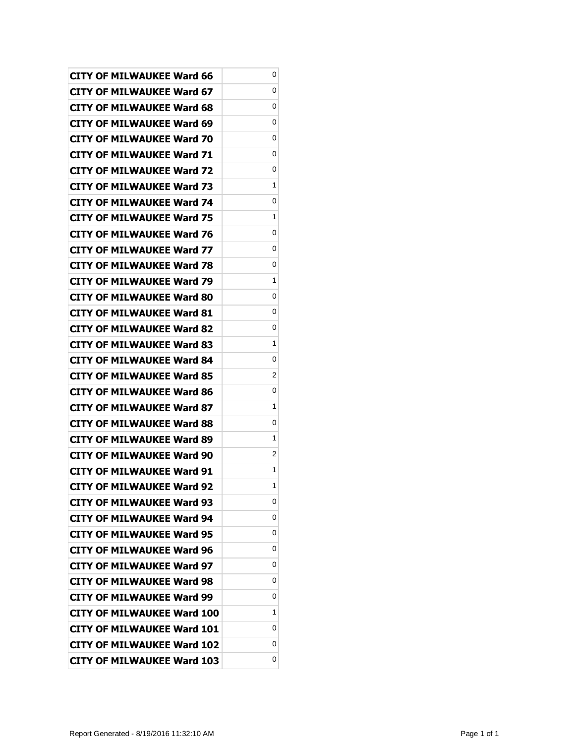| <b>CITY OF MILWAUKEE Ward 66</b>  | 0 |
|-----------------------------------|---|
| <b>CITY OF MILWAUKEE Ward 67</b>  | 0 |
| <b>CITY OF MILWAUKEE Ward 68</b>  | 0 |
| <b>CITY OF MILWAUKEE Ward 69</b>  | 0 |
| <b>CITY OF MILWAUKEE Ward 70</b>  | 0 |
| CITY OF MILWAUKEE Ward 71         | 0 |
| <b>CITY OF MILWAUKEE Ward 72</b>  | 0 |
| <b>CITY OF MILWAUKEE Ward 73</b>  | 1 |
| <b>CITY OF MILWAUKEE Ward 74</b>  | 0 |
| <b>CITY OF MILWAUKEE Ward 75</b>  | 1 |
| <b>CITY OF MILWAUKEE Ward 76</b>  | 0 |
| <b>CITY OF MILWAUKEE Ward 77</b>  | 0 |
| <b>CITY OF MILWAUKEE Ward 78</b>  | 0 |
| CITY OF MILWAUKEE Ward 79         | 1 |
| <b>CITY OF MILWAUKEE Ward 80</b>  | 0 |
| <b>CITY OF MILWAUKEE Ward 81</b>  | 0 |
| <b>CITY OF MILWAUKEE Ward 82</b>  | 0 |
| <b>CITY OF MILWAUKEE Ward 83</b>  | 1 |
| <b>CITY OF MILWAUKEE Ward 84</b>  | 0 |
| <b>CITY OF MILWAUKEE Ward 85</b>  | 2 |
| <b>CITY OF MILWAUKEE Ward 86</b>  | 0 |
| <b>CITY OF MILWAUKEE Ward 87</b>  | 1 |
| CITY OF MILWAUKEE Ward 88         | 0 |
| CITY OF MILWAUKEE Ward 89         | 1 |
| <b>CITY OF MILWAUKEE Ward 90</b>  | 2 |
| <b>CITY OF MILWAUKEE Ward 91</b>  | 1 |
| <b>CITY OF MILWAUKEE Ward 92</b>  | 1 |
| <b>CITY OF MILWAUKEE Ward 93</b>  | 0 |
| <b>CITY OF MILWAUKEE Ward 94</b>  | 0 |
| <b>CITY OF MILWAUKEE Ward 95</b>  | 0 |
| <b>CITY OF MILWAUKEE Ward 96</b>  | 0 |
| <b>CITY OF MILWAUKEE Ward 97</b>  | 0 |
| <b>CITY OF MILWAUKEE Ward 98</b>  | 0 |
| <b>CITY OF MILWAUKEE Ward 99</b>  | 0 |
| <b>CITY OF MILWAUKEE Ward 100</b> | 1 |
| <b>CITY OF MILWAUKEE Ward 101</b> | 0 |
| <b>CITY OF MILWAUKEE Ward 102</b> | 0 |
| <b>CITY OF MILWAUKEE Ward 103</b> | 0 |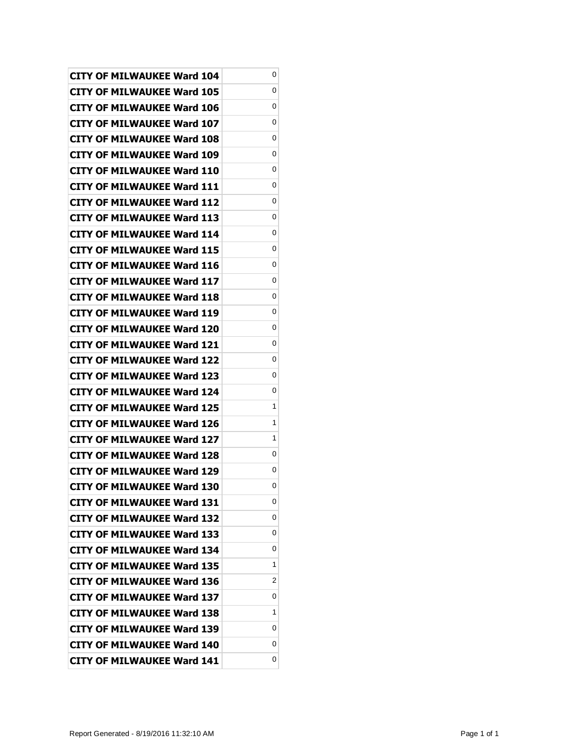| <b>CITY OF MILWAUKEE Ward 104</b> | 0 |
|-----------------------------------|---|
| <b>CITY OF MILWAUKEE Ward 105</b> | 0 |
| CITY OF MILWAUKEE Ward 106        | 0 |
| CITY OF MILWAUKEE Ward 107        | 0 |
| CITY OF MILWAUKEE Ward 108        | 0 |
| <b>CITY OF MILWAUKEE Ward 109</b> | 0 |
| CITY OF MILWAUKEE Ward 110        | 0 |
| CITY OF MILWAUKEE Ward 111        | 0 |
| <b>CITY OF MILWAUKEE Ward 112</b> | 0 |
| CITY OF MILWAUKEE Ward 113        | 0 |
| CITY OF MILWAUKEE Ward 114        | 0 |
| CITY OF MILWAUKEE Ward 115        | 0 |
| CITY OF MILWAUKEE Ward 116        | 0 |
| <b>CITY OF MILWAUKEE Ward 117</b> | 0 |
| <b>CITY OF MILWAUKEE Ward 118</b> | 0 |
| CITY OF MILWAUKEE Ward 119        | 0 |
| CITY OF MILWAUKEE Ward 120        | 0 |
| CITY OF MILWAUKEE Ward 121        | 0 |
| <b>CITY OF MILWAUKEE Ward 122</b> | 0 |
| <b>CITY OF MILWAUKEE Ward 123</b> | 0 |
| CITY OF MILWAUKEE Ward 124        | 0 |
| CITY OF MILWAUKEE Ward 125        | 1 |
| <b>CITY OF MILWAUKEE Ward 126</b> | 1 |
| <b>CITY OF MILWAUKEE Ward 127</b> | 1 |
| CITY OF MILWAUKEE Ward 128        | 0 |
| <b>CITY OF MILWAUKEE Ward 129</b> | 0 |
| <b>CITY OF MILWAUKEE Ward 130</b> | 0 |
| <b>CITY OF MILWAUKEE Ward 131</b> | 0 |
| <b>CITY OF MILWAUKEE Ward 132</b> | 0 |
| <b>CITY OF MILWAUKEE Ward 133</b> | 0 |
| CITY OF MILWAUKEE Ward 134        | 0 |
| <b>CITY OF MILWAUKEE Ward 135</b> | 1 |
| <b>CITY OF MILWAUKEE Ward 136</b> | 2 |
| <b>CITY OF MILWAUKEE Ward 137</b> | 0 |
| CITY OF MILWAUKEE Ward 138        | 1 |
| CITY OF MILWAUKEE Ward 139        | 0 |
| <b>CITY OF MILWAUKEE Ward 140</b> | 0 |
| <b>CITY OF MILWAUKEE Ward 141</b> | 0 |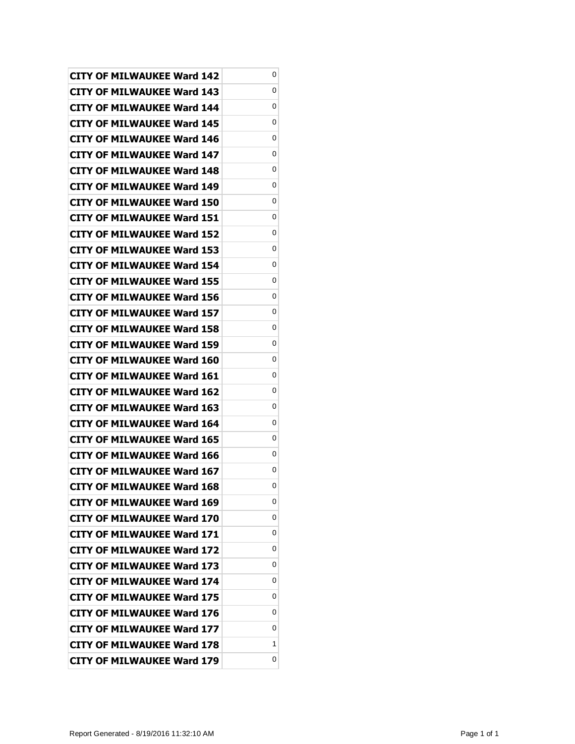| <b>CITY OF MILWAUKEE Ward 142</b> | 0 |
|-----------------------------------|---|
| CITY OF MILWAUKEE Ward 143        | 0 |
| <b>CITY OF MILWAUKEE Ward 144</b> | 0 |
| <b>CITY OF MILWAUKEE Ward 145</b> | 0 |
| <b>CITY OF MILWAUKEE Ward 146</b> | 0 |
| CITY OF MILWAUKEE Ward 147        | 0 |
| CITY OF MILWAUKEE Ward 148        | 0 |
| CITY OF MILWAUKEE Ward 149        | 0 |
| <b>CITY OF MILWAUKEE Ward 150</b> | 0 |
| CITY OF MILWAUKEE Ward 151        | 0 |
| <b>CITY OF MILWAUKEE Ward 152</b> | 0 |
| CITY OF MILWAUKEE Ward 153        | 0 |
| <b>CITY OF MILWAUKEE Ward 154</b> | 0 |
| <b>CITY OF MILWAUKEE Ward 155</b> | 0 |
| CITY OF MILWAUKEE Ward 156        | 0 |
| CITY OF MILWAUKEE Ward 157        | 0 |
| CITY OF MILWAUKEE Ward 158        | 0 |
| <b>CITY OF MILWAUKEE Ward 159</b> | 0 |
| CITY OF MILWAUKEE Ward 160        | 0 |
| CITY OF MILWAUKEE Ward 161        | 0 |
| <b>CITY OF MILWAUKEE Ward 162</b> | 0 |
| CITY OF MILWAUKEE Ward 163        | 0 |
| CITY OF MILWAUKEE Ward 164        | 0 |
| CITY OF MILWAUKEE Ward 165        | 0 |
| CITY OF MILWAUKEE Ward 166        | 0 |
| <b>CITY OF MILWAUKEE Ward 167</b> | 0 |
| <b>CITY OF MILWAUKEE Ward 168</b> | 0 |
| <b>CITY OF MILWAUKEE Ward 169</b> | 0 |
| CITY OF MILWAUKEE Ward 170        | 0 |
| <b>CITY OF MILWAUKEE Ward 171</b> | 0 |
| CITY OF MILWAUKEE Ward 172        | 0 |
| <b>CITY OF MILWAUKEE Ward 173</b> | 0 |
| <b>CITY OF MILWAUKEE Ward 174</b> | 0 |
| <b>CITY OF MILWAUKEE Ward 175</b> | 0 |
| <b>CITY OF MILWAUKEE Ward 176</b> | 0 |
| <b>CITY OF MILWAUKEE Ward 177</b> | 0 |
| <b>CITY OF MILWAUKEE Ward 178</b> | 1 |
| CITY OF MILWAUKEE Ward 179        | 0 |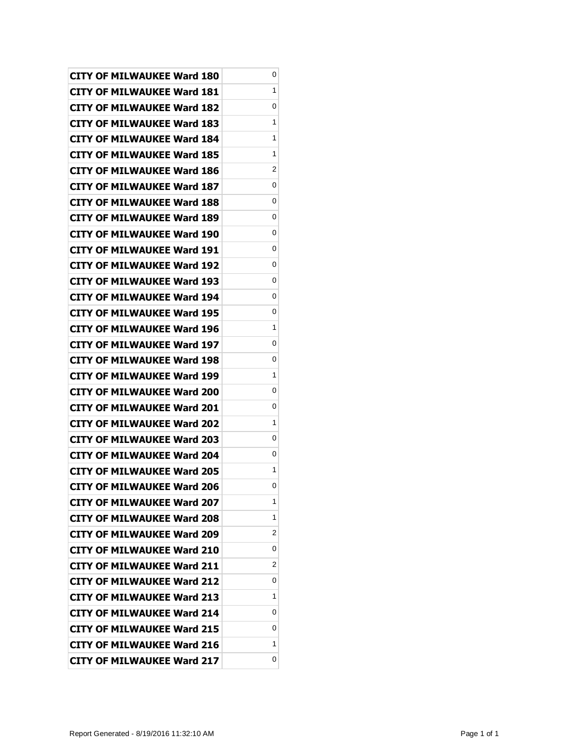| CITY OF MILWAUKEE Ward 180        | 0 |
|-----------------------------------|---|
| <b>CITY OF MILWAUKEE Ward 181</b> | 1 |
| <b>CITY OF MILWAUKEE Ward 182</b> | 0 |
| <b>CITY OF MILWAUKEE Ward 183</b> | 1 |
| <b>CITY OF MILWAUKEE Ward 184</b> | 1 |
| <b>CITY OF MILWAUKEE Ward 185</b> | 1 |
| <b>CITY OF MILWAUKEE Ward 186</b> | 2 |
| <b>CITY OF MILWAUKEE Ward 187</b> | 0 |
| <b>CITY OF MILWAUKEE Ward 188</b> | 0 |
| <b>CITY OF MILWAUKEE Ward 189</b> | 0 |
| <b>CITY OF MILWAUKEE Ward 190</b> | 0 |
| <b>CITY OF MILWAUKEE Ward 191</b> | 0 |
| <b>CITY OF MILWAUKEE Ward 192</b> | 0 |
| <b>CITY OF MILWAUKEE Ward 193</b> | 0 |
| <b>CITY OF MILWAUKEE Ward 194</b> | 0 |
| <b>CITY OF MILWAUKEE Ward 195</b> | 0 |
| <b>CITY OF MILWAUKEE Ward 196</b> | 1 |
| <b>CITY OF MILWAUKEE Ward 197</b> | 0 |
| <b>CITY OF MILWAUKEE Ward 198</b> | 0 |
| <b>CITY OF MILWAUKEE Ward 199</b> | 1 |
| <b>CITY OF MILWAUKEE Ward 200</b> | 0 |
| <b>CITY OF MILWAUKEE Ward 201</b> | 0 |
| <b>CITY OF MILWAUKEE Ward 202</b> | 1 |
| <b>CITY OF MILWAUKEE Ward 203</b> | 0 |
| <b>CITY OF MILWAUKEE Ward 204</b> | 0 |
| <b>CITY OF MILWAUKEE Ward 205</b> | 1 |
| <b>CITY OF MILWAUKEE Ward 206</b> | 0 |
| <b>CITY OF MILWAUKEE Ward 207</b> | 1 |
| <b>CITY OF MILWAUKEE Ward 208</b> | 1 |
| <b>CITY OF MILWAUKEE Ward 209</b> | 2 |
| <b>CITY OF MILWAUKEE Ward 210</b> | 0 |
| <b>CITY OF MILWAUKEE Ward 211</b> | 2 |
| <b>CITY OF MILWAUKEE Ward 212</b> | 0 |
| <b>CITY OF MILWAUKEE Ward 213</b> | 1 |
| <b>CITY OF MILWAUKEE Ward 214</b> | 0 |
| <b>CITY OF MILWAUKEE Ward 215</b> | 0 |
| <b>CITY OF MILWAUKEE Ward 216</b> | 1 |
| <b>CITY OF MILWAUKEE Ward 217</b> | 0 |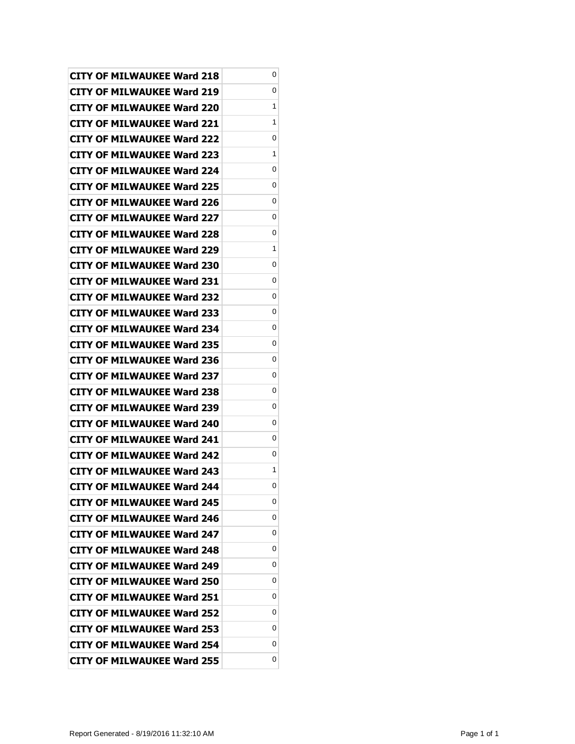| <b>CITY OF MILWAUKEE Ward 218</b> | 0 |
|-----------------------------------|---|
| CITY OF MILWAUKEE Ward 219        | 0 |
| <b>CITY OF MILWAUKEE Ward 220</b> | 1 |
| <b>CITY OF MILWAUKEE Ward 221</b> | 1 |
| <b>CITY OF MILWAUKEE Ward 222</b> | 0 |
| <b>CITY OF MILWAUKEE Ward 223</b> | 1 |
| CITY OF MILWAUKEE Ward 224        | 0 |
| <b>CITY OF MILWAUKEE Ward 225</b> | 0 |
| <b>CITY OF MILWAUKEE Ward 226</b> | 0 |
| <b>CITY OF MILWAUKEE Ward 227</b> | 0 |
| CITY OF MILWAUKEE Ward 228        | 0 |
| CITY OF MILWAUKEE Ward 229        | 1 |
| <b>CITY OF MILWAUKEE Ward 230</b> | 0 |
| <b>CITY OF MILWAUKEE Ward 231</b> | 0 |
| <b>CITY OF MILWAUKEE Ward 232</b> | 0 |
| <b>CITY OF MILWAUKEE Ward 233</b> | 0 |
| <b>CITY OF MILWAUKEE Ward 234</b> | 0 |
| <b>CITY OF MILWAUKEE Ward 235</b> | 0 |
| <b>CITY OF MILWAUKEE Ward 236</b> | 0 |
| <b>CITY OF MILWAUKEE Ward 237</b> | 0 |
| <b>CITY OF MILWAUKEE Ward 238</b> | 0 |
| <b>CITY OF MILWAUKEE Ward 239</b> | 0 |
| <b>CITY OF MILWAUKEE Ward 240</b> | 0 |
| CITY OF MILWAUKEE Ward 241        | 0 |
| <b>CITY OF MILWAUKEE Ward 242</b> | 0 |
| <b>CITY OF MILWAUKEE Ward 243</b> | 1 |
| <b>CITY OF MILWAUKEE Ward 244</b> | 0 |
| <b>CITY OF MILWAUKEE Ward 245</b> | 0 |
| <b>CITY OF MILWAUKEE Ward 246</b> | 0 |
| CITY OF MILWAUKEE Ward 247        | 0 |
| <b>CITY OF MILWAUKEE Ward 248</b> | 0 |
| <b>CITY OF MILWAUKEE Ward 249</b> | 0 |
| CITY OF MILWAUKEE Ward 250        | 0 |
| <b>CITY OF MILWAUKEE Ward 251</b> | 0 |
| <b>CITY OF MILWAUKEE Ward 252</b> | 0 |
| CITY OF MILWAUKEE Ward 253        | 0 |
| <b>CITY OF MILWAUKEE Ward 254</b> | 0 |
| <b>CITY OF MILWAUKEE Ward 255</b> | 0 |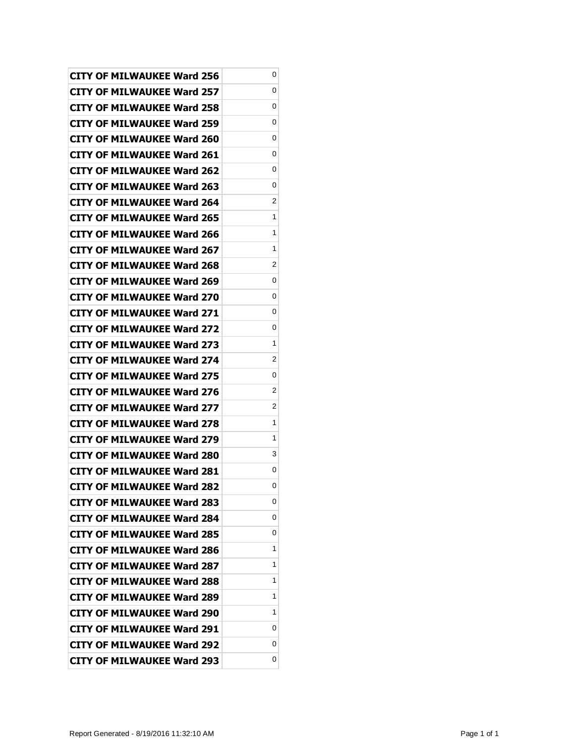| <b>CITY OF MILWAUKEE Ward 256</b> | 0 |
|-----------------------------------|---|
| <b>CITY OF MILWAUKEE Ward 257</b> | 0 |
| <b>CITY OF MILWAUKEE Ward 258</b> | 0 |
| <b>CITY OF MILWAUKEE Ward 259</b> | 0 |
| <b>CITY OF MILWAUKEE Ward 260</b> | 0 |
| CITY OF MILWAUKEE Ward 261        | 0 |
| <b>CITY OF MILWAUKEE Ward 262</b> | 0 |
| <b>CITY OF MILWAUKEE Ward 263</b> | 0 |
| <b>CITY OF MILWAUKEE Ward 264</b> | 2 |
| <b>CITY OF MILWAUKEE Ward 265</b> | 1 |
| <b>CITY OF MILWAUKEE Ward 266</b> | 1 |
| CITY OF MILWAUKEE Ward 267        | 1 |
| <b>CITY OF MILWAUKEE Ward 268</b> | 2 |
| CITY OF MILWAUKEE Ward 269        | 0 |
| CITY OF MILWAUKEE Ward 270        | 0 |
| <b>CITY OF MILWAUKEE Ward 271</b> | 0 |
| CITY OF MILWAUKEE Ward 272        | 0 |
| <b>CITY OF MILWAUKEE Ward 273</b> | 1 |
| <b>CITY OF MILWAUKEE Ward 274</b> | 2 |
| <b>CITY OF MILWAUKEE Ward 275</b> | 0 |
| <b>CITY OF MILWAUKEE Ward 276</b> | 2 |
| <b>CITY OF MILWAUKEE Ward 277</b> | 2 |
| <b>CITY OF MILWAUKEE Ward 278</b> | 1 |
| <b>CITY OF MILWAUKEE Ward 279</b> | 1 |
| <b>CITY OF MILWAUKEE Ward 280</b> | 3 |
| <b>CITY OF MILWAUKEE Ward 281</b> | 0 |
| <b>CITY OF MILWAUKEE Ward 282</b> | 0 |
| <b>CITY OF MILWAUKEE Ward 283</b> | 0 |
| <b>CITY OF MILWAUKEE Ward 284</b> | 0 |
| <b>CITY OF MILWAUKEE Ward 285</b> | 0 |
| <b>CITY OF MILWAUKEE Ward 286</b> | 1 |
| <b>CITY OF MILWAUKEE Ward 287</b> | 1 |
| <b>CITY OF MILWAUKEE Ward 288</b> | 1 |
| CITY OF MILWAUKEE Ward 289        | 1 |
| <b>CITY OF MILWAUKEE Ward 290</b> | 1 |
| <b>CITY OF MILWAUKEE Ward 291</b> | 0 |
| <b>CITY OF MILWAUKEE Ward 292</b> | 0 |
| <b>CITY OF MILWAUKEE Ward 293</b> | 0 |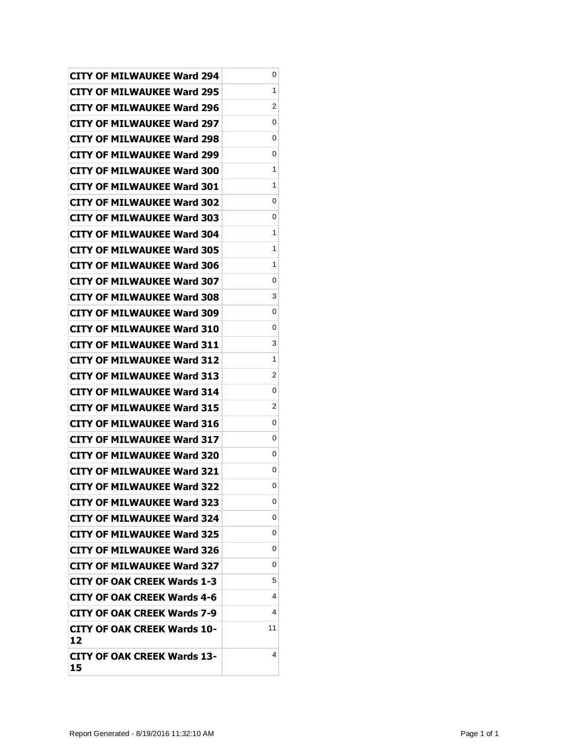| <b>CITY OF MILWAUKEE Ward 294</b>        | 0  |
|------------------------------------------|----|
| <b>CITY OF MILWAUKEE Ward 295</b>        | 1  |
| <b>CITY OF MILWAUKEE Ward 296</b>        | 2  |
| <b>CITY OF MILWAUKEE Ward 297</b>        | 0  |
| <b>CITY OF MILWAUKEE Ward 298</b>        | 0  |
| <b>CITY OF MILWAUKEE Ward 299</b>        | 0  |
| CITY OF MILWAUKEE Ward 300               | 1  |
| <b>CITY OF MILWAUKEE Ward 301</b>        | 1  |
| <b>CITY OF MILWAUKEE Ward 302</b>        | 0  |
| <b>CITY OF MILWAUKEE Ward 303</b>        | 0  |
| <b>CITY OF MILWAUKEE Ward 304</b>        | 1  |
| CITY OF MILWAUKEE Ward 305               | 1  |
| <b>CITY OF MILWAUKEE Ward 306</b>        | 1  |
| <b>CITY OF MILWAUKEE Ward 307</b>        | 0  |
| <b>CITY OF MILWAUKEE Ward 308</b>        | 3  |
| <b>CITY OF MILWAUKEE Ward 309</b>        | 0  |
| CITY OF MILWAUKEE Ward 310               | 0  |
| <b>CITY OF MILWAUKEE Ward 311</b>        | 3  |
| <b>CITY OF MILWAUKEE Ward 312</b>        | 1  |
| <b>CITY OF MILWAUKEE Ward 313</b>        | 2  |
| <b>CITY OF MILWAUKEE Ward 314</b>        | 0  |
| <b>CITY OF MILWAUKEE Ward 315</b>        | 2  |
| <b>CITY OF MILWAUKEE Ward 316</b>        | 0  |
| <b>CITY OF MILWAUKEE Ward 317</b>        | 0  |
| <b>CITY OF MILWAUKEE Ward 320</b>        | 0  |
| <b>CITY OF MILWAUKEE Ward 321</b>        | 0  |
| <b>CITY OF MILWAUKEE Ward 322</b>        | 0  |
| <b>CITY OF MILWAUKEE Ward 323</b>        | 0  |
| <b>CITY OF MILWAUKEE Ward 324</b>        | 0  |
| <b>CITY OF MILWAUKEE Ward 325</b>        | 0  |
| CITY OF MILWAUKEE Ward 326               | 0  |
| <b>CITY OF MILWAUKEE Ward 327</b>        | 0  |
| <b>CITY OF OAK CREEK Wards 1-3</b>       | 5  |
| CITY OF OAK CREEK Wards 4-6              | 4  |
| <b>CITY OF OAK CREEK Wards 7-9</b>       | 4  |
| <b>CITY OF OAK CREEK Wards 10-</b><br>12 | 11 |
| CITY OF OAK CREEK Wards 13-<br>15        | 4  |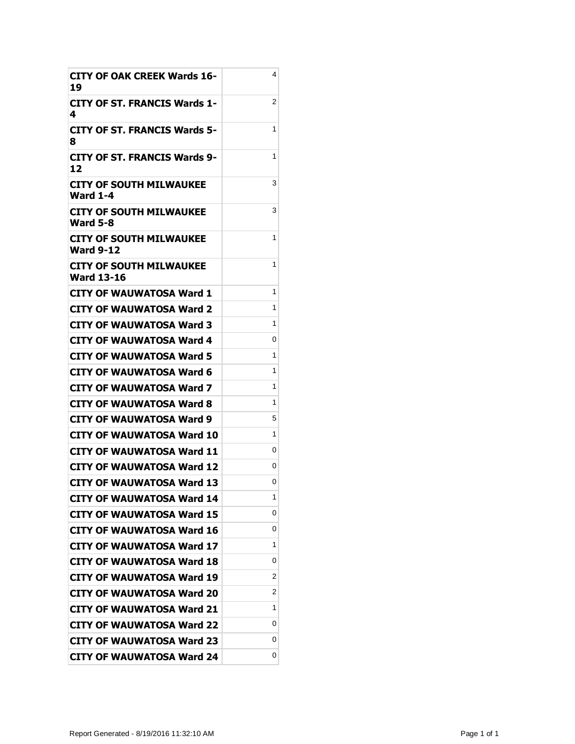| <b>CITY OF OAK CREEK Wards 16-</b><br>19          | 4 |
|---------------------------------------------------|---|
| <b>CITY OF ST. FRANCIS Wards 1-</b><br>4          | 2 |
| CITY OF ST. FRANCIS Wards 5-<br>8                 | 1 |
| <b>CITY OF ST. FRANCIS Wards 9-</b><br>12         | 1 |
| CITY OF SOUTH MILWAUKEE<br>Ward 1-4               | 3 |
| <b>CITY OF SOUTH MILWAUKEE</b><br><b>Ward 5-8</b> | 3 |
| CITY OF SOUTH MILWAUKEE<br><b>Ward 9-12</b>       | 1 |
| CITY OF SOUTH MILWAUKEE<br><b>Ward 13-16</b>      | 1 |
| <b>CITY OF WAUWATOSA Ward 1</b>                   | 1 |
| CITY OF WAUWATOSA Ward 2                          | 1 |
| CITY OF WAUWATOSA Ward 3                          | 1 |
| CITY OF WAUWATOSA Ward 4                          | 0 |
| CITY OF WAUWATOSA Ward 5                          | 1 |
| CITY OF WAUWATOSA Ward 6                          | 1 |
| CITY OF WAUWATOSA Ward 7                          | 1 |
| CITY OF WAUWATOSA Ward 8                          | 1 |
| CITY OF WAUWATOSA Ward 9                          | 5 |
| CITY OF WAUWATOSA Ward 10                         | 1 |
| CITY OF WAUWATOSA Ward 11                         | 0 |
| CITY OF WAUWATOSA Ward 12                         | 0 |
| <b>CITY OF WAUWATOSA Ward 13</b>                  | 0 |
| <b>CITY OF WAUWATOSA Ward 14</b>                  | 1 |
| <b>CITY OF WAUWATOSA Ward 15</b>                  | 0 |
| CITY OF WAUWATOSA Ward 16                         | 0 |
| CITY OF WAUWATOSA Ward 17                         | 1 |
| CITY OF WAUWATOSA Ward 18                         | 0 |
| <b>CITY OF WAUWATOSA Ward 19</b>                  | 2 |
| <b>CITY OF WAUWATOSA Ward 20</b>                  | 2 |
| CITY OF WAUWATOSA Ward 21                         | 1 |
| <b>CITY OF WAUWATOSA Ward 22</b>                  | 0 |
| CITY OF WAUWATOSA Ward 23                         | 0 |
| CITY OF WAUWATOSA Ward 24                         | 0 |